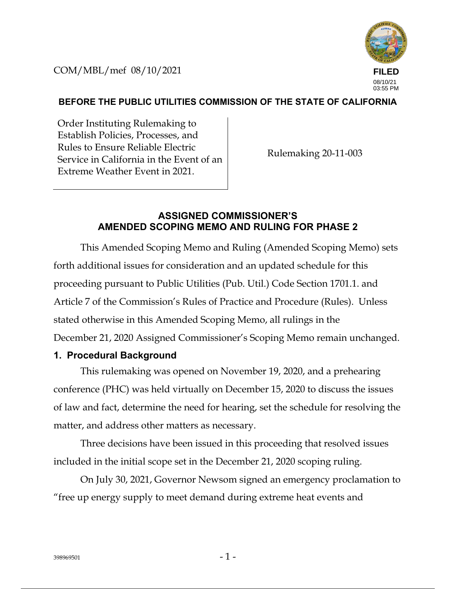COM/MBL/mef 08/10/2021



## **BEFORE THE PUBLIC UTILITIES COMMISSION OF THE STATE OF CALIFORNIA**

Order Instituting Rulemaking to Establish Policies, Processes, and Rules to Ensure Reliable Electric Service in California in the Event of an Extreme Weather Event in 2021.

Rulemaking 20-11-003

## **ASSIGNED COMMISSIONER'S AMENDED SCOPING MEMO AND RULING FOR PHASE 2**

This Amended Scoping Memo and Ruling (Amended Scoping Memo) sets forth additional issues for consideration and an updated schedule for this proceeding pursuant to Public Utilities (Pub. Util.) Code Section 1701.1. and Article 7 of the Commission's Rules of Practice and Procedure (Rules). Unless stated otherwise in this Amended Scoping Memo, all rulings in the December 21, 2020 Assigned Commissioner's Scoping Memo remain unchanged.

### **1. Procedural Background**

This rulemaking was opened on November 19, 2020, and a prehearing conference (PHC) was held virtually on December 15, 2020 to discuss the issues of law and fact, determine the need for hearing, set the schedule for resolving the matter, and address other matters as necessary.

Three decisions have been issued in this proceeding that resolved issues included in the initial scope set in the December 21, 2020 scoping ruling.

On July 30, 2021, Governor Newsom signed an emergency proclamation to "free up energy supply to meet demand during extreme heat events and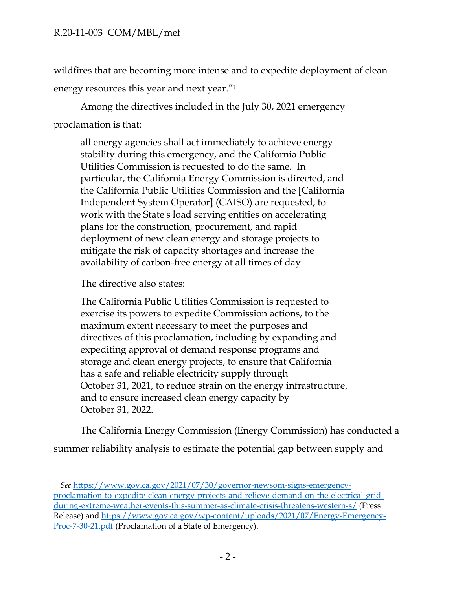wildfires that are becoming more intense and to expedite deployment of clean energy resources this year and next year."<sup>1</sup>

Among the directives included in the July 30, 2021 emergency proclamation is that:

all energy agencies shall act immediately to achieve energy stability during this emergency, and the California Public Utilities Commission is requested to do the same. In particular, the California Energy Commission is directed, and the California Public Utilities Commission and the [California Independent System Operator] (CAISO) are requested, to work with the State's load serving entities on accelerating plans for the construction, procurement, and rapid deployment of new clean energy and storage projects to mitigate the risk of capacity shortages and increase the availability of carbon-free energy at all times of day.

The directive also states:

The California Public Utilities Commission is requested to exercise its powers to expedite Commission actions, to the maximum extent necessary to meet the purposes and directives of this proclamation, including by expanding and expediting approval of demand response programs and storage and clean energy projects, to ensure that California has a safe and reliable electricity supply through October 31, 2021, to reduce strain on the energy infrastructure, and to ensure increased clean energy capacity by October 31, 2022.

The California Energy Commission (Energy Commission) has conducted a summer reliability analysis to estimate the potential gap between supply and

<sup>1</sup> *See* https://www.gov.ca.gov/2021/07/30/governor-newsom-signs-emergencyproclamation-to-expedite-clean-energy-projects-and-relieve-demand-on-the-electrical-gridduring-extreme-weather-events-this-summer-as-climate-crisis-threatens-western-s/ (Press Release) and https://www.gov.ca.gov/wp-content/uploads/2021/07/Energy-Emergency-Proc-7-30-21.pdf (Proclamation of a State of Emergency).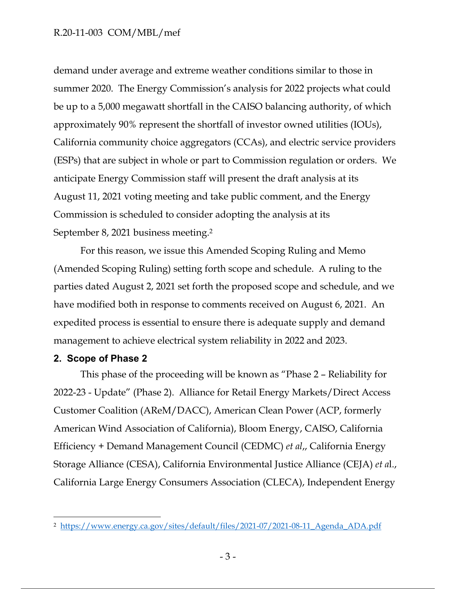### R.20-11-003 COM/MBL/mef

demand under average and extreme weather conditions similar to those in summer 2020. The Energy Commission's analysis for 2022 projects what could be up to a 5,000 megawatt shortfall in the CAISO balancing authority, of which approximately 90% represent the shortfall of investor owned utilities (IOUs), California community choice aggregators (CCAs), and electric service providers (ESPs) that are subject in whole or part to Commission regulation or orders. We anticipate Energy Commission staff will present the draft analysis at its August 11, 2021 voting meeting and take public comment, and the Energy Commission is scheduled to consider adopting the analysis at its September 8, 2021 business meeting. 2

For this reason, we issue this Amended Scoping Ruling and Memo (Amended Scoping Ruling) setting forth scope and schedule. A ruling to the parties dated August 2, 2021 set forth the proposed scope and schedule, and we have modified both in response to comments received on August 6, 2021. An expedited process is essential to ensure there is adequate supply and demand management to achieve electrical system reliability in 2022 and 2023.

### **2. Scope of Phase 2**

This phase of the proceeding will be known as "Phase 2 – Reliability for 2022-23 - Update" (Phase 2). Alliance for Retail Energy Markets/Direct Access Customer Coalition (AReM/DACC), American Clean Power (ACP, formerly American Wind Association of California), Bloom Energy, CAISO, California Efficiency + Demand Management Council (CEDMC) *et al*,, California Energy Storage Alliance (CESA), California Environmental Justice Alliance (CEJA) *et a*l., California Large Energy Consumers Association (CLECA), Independent Energy

<sup>2</sup> https://www.energy.ca.gov/sites/default/files/2021-07/2021-08-11\_Agenda\_ADA.pdf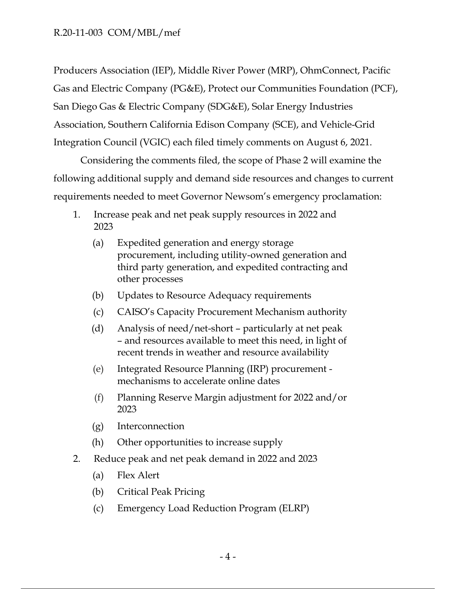Producers Association (IEP), Middle River Power (MRP), OhmConnect, Pacific Gas and Electric Company (PG&E), Protect our Communities Foundation (PCF), San Diego Gas & Electric Company (SDG&E), Solar Energy Industries Association, Southern California Edison Company (SCE), and Vehicle-Grid Integration Council (VGIC) each filed timely comments on August 6, 2021.

Considering the comments filed, the scope of Phase 2 will examine the following additional supply and demand side resources and changes to current requirements needed to meet Governor Newsom's emergency proclamation:

- 1. Increase peak and net peak supply resources in 2022 and 2023
	- (a) Expedited generation and energy storage procurement, including utility-owned generation and third party generation, and expedited contracting and other processes
	- (b) Updates to Resource Adequacy requirements
	- (c) CAISO's Capacity Procurement Mechanism authority
	- (d) Analysis of need/net-short particularly at net peak – and resources available to meet this need, in light of recent trends in weather and resource availability
	- (e) Integrated Resource Planning (IRP) procurement mechanisms to accelerate online dates
	- (f) Planning Reserve Margin adjustment for 2022 and/or 2023
	- (g) Interconnection
	- (h) Other opportunities to increase supply
- 2. Reduce peak and net peak demand in 2022 and 2023
	- (a) Flex Alert
	- (b) Critical Peak Pricing
	- (c) Emergency Load Reduction Program (ELRP)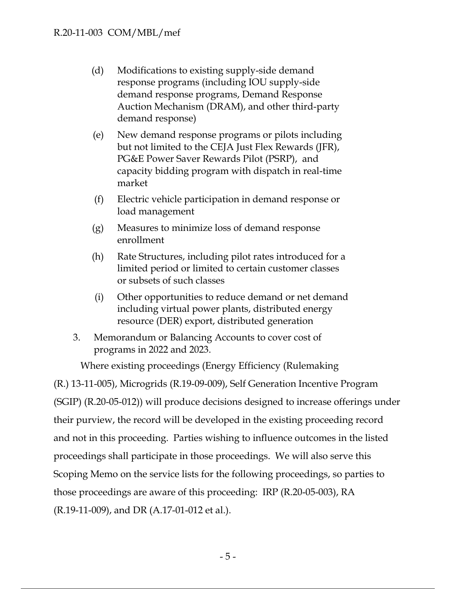- (d) Modifications to existing supply-side demand response programs (including IOU supply-side demand response programs, Demand Response Auction Mechanism (DRAM), and other third-party demand response)
- (e) New demand response programs or pilots including but not limited to the CEJA Just Flex Rewards (JFR), PG&E Power Saver Rewards Pilot (PSRP), and capacity bidding program with dispatch in real-time market
- (f) Electric vehicle participation in demand response or load management
- (g) Measures to minimize loss of demand response enrollment
- (h) Rate Structures, including pilot rates introduced for a limited period or limited to certain customer classes or subsets of such classes
- (i) Other opportunities to reduce demand or net demand including virtual power plants, distributed energy resource (DER) export, distributed generation
- 3. Memorandum or Balancing Accounts to cover cost of programs in 2022 and 2023.

Where existing proceedings (Energy Efficiency (Rulemaking (R.) 13-11-005), Microgrids (R.19-09-009), Self Generation Incentive Program (SGIP) (R.20-05-012)) will produce decisions designed to increase offerings under their purview, the record will be developed in the existing proceeding record and not in this proceeding. Parties wishing to influence outcomes in the listed proceedings shall participate in those proceedings. We will also serve this Scoping Memo on the service lists for the following proceedings, so parties to those proceedings are aware of this proceeding: IRP (R.20-05-003), RA (R.19-11-009), and DR (A.17-01-012 et al.).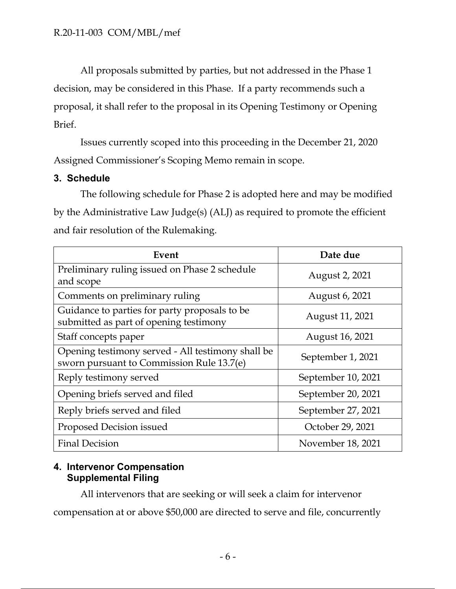All proposals submitted by parties, but not addressed in the Phase 1 decision, may be considered in this Phase. If a party recommends such a proposal, it shall refer to the proposal in its Opening Testimony or Opening Brief.

Issues currently scoped into this proceeding in the December 21, 2020 Assigned Commissioner's Scoping Memo remain in scope.

## **3. Schedule**

The following schedule for Phase 2 is adopted here and may be modified by the Administrative Law Judge(s) (ALJ) as required to promote the efficient and fair resolution of the Rulemaking.

| Event                                                                                          | Date due           |
|------------------------------------------------------------------------------------------------|--------------------|
| Preliminary ruling issued on Phase 2 schedule<br>and scope                                     | August 2, 2021     |
| Comments on preliminary ruling                                                                 | August 6, 2021     |
| Guidance to parties for party proposals to be<br>submitted as part of opening testimony        | August 11, 2021    |
| Staff concepts paper                                                                           | August 16, 2021    |
| Opening testimony served - All testimony shall be<br>sworn pursuant to Commission Rule 13.7(e) | September 1, 2021  |
| Reply testimony served                                                                         | September 10, 2021 |
| Opening briefs served and filed                                                                | September 20, 2021 |
| Reply briefs served and filed                                                                  | September 27, 2021 |
| Proposed Decision issued                                                                       | October 29, 2021   |
| <b>Final Decision</b>                                                                          | November 18, 2021  |

# **4. Intervenor Compensation Supplemental Filing**

All intervenors that are seeking or will seek a claim for intervenor

compensation at or above \$50,000 are directed to serve and file, concurrently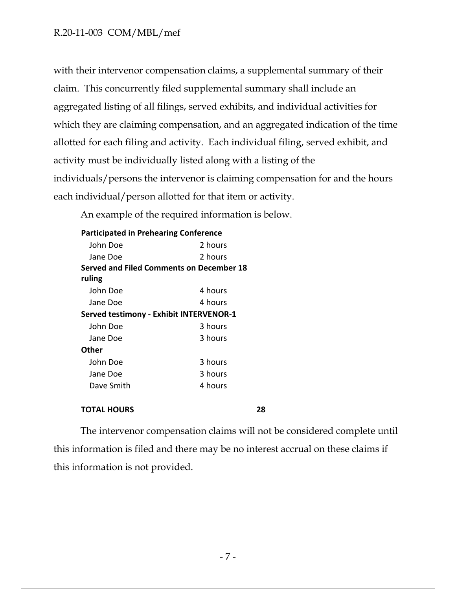## R.20-11-003 COM/MBL/mef

with their intervenor compensation claims, a supplemental summary of their claim. This concurrently filed supplemental summary shall include an aggregated listing of all filings, served exhibits, and individual activities for which they are claiming compensation, and an aggregated indication of the time allotted for each filing and activity. Each individual filing, served exhibit, and activity must be individually listed along with a listing of the individuals/persons the intervenor is claiming compensation for and the hours each individual/person allotted for that item or activity.

An example of the required information is below.

| <b>Participated in Prehearing Conference</b> |         |
|----------------------------------------------|---------|
| John Doe                                     | 2 hours |
| Jane Doe                                     | 2 hours |
| Served and Filed Comments on December 18     |         |
| ruling                                       |         |
| John Doe                                     | 4 hours |
| Jane Doe                                     | 4 hours |
| Served testimony - Exhibit INTERVENOR-1      |         |
| John Doe                                     | 3 hours |
| Jane Doe                                     | 3 hours |
| Other                                        |         |
| John Doe                                     | 3 hours |
| Jane Doe                                     | 3 hours |
| Dave Smith                                   | 4 hours |
|                                              |         |

#### **TOTAL HOURS 28**

The intervenor compensation claims will not be considered complete until this information is filed and there may be no interest accrual on these claims if this information is not provided.